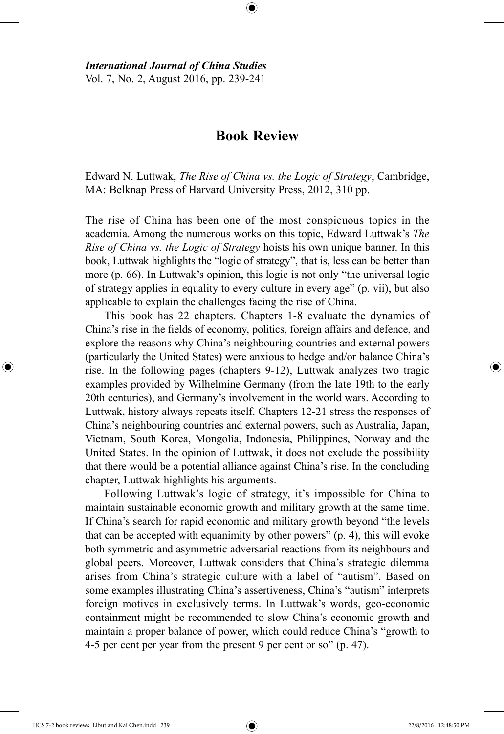*International Journal of China Studies* Vol. 7, No. 2, August 2016, pp. 239-241

## **Book Review**

⊕

Edward N. Luttwak, *The Rise of China vs. the Logic of Strategy*, Cambridge, MA: Belknap Press of Harvard University Press, 2012, 310 pp.

The rise of China has been one of the most conspicuous topics in the academia. Among the numerous works on this topic, Edward Luttwak's *The Rise of China vs. the Logic of Strategy* hoists his own unique banner. In this book, Luttwak highlights the "logic of strategy", that is, less can be better than more (p. 66). In Luttwak's opinion, this logic is not only "the universal logic of strategy applies in equality to every culture in every age" (p. vii), but also applicable to explain the challenges facing the rise of China.

This book has 22 chapters. Chapters 1-8 evaluate the dynamics of China's rise in the fields of economy, politics, foreign affairs and defence, and explore the reasons why China's neighbouring countries and external powers (particularly the United States) were anxious to hedge and/or balance China's rise. In the following pages (chapters 9-12), Luttwak analyzes two tragic examples provided by Wilhelmine Germany (from the late 19th to the early 20th centuries), and Germany's involvement in the world wars. According to Luttwak, history always repeats itself. Chapters 12-21 stress the responses of China's neighbouring countries and external powers, such as Australia, Japan, Vietnam, South Korea, Mongolia, Indonesia, Philippines, Norway and the United States. In the opinion of Luttwak, it does not exclude the possibility that there would be a potential alliance against China's rise. In the concluding chapter, Luttwak highlights his arguments.

Following Luttwak's logic of strategy, it's impossible for China to maintain sustainable economic growth and military growth at the same time. If China's search for rapid economic and military growth beyond "the levels that can be accepted with equanimity by other powers" (p. 4), this will evoke both symmetric and asymmetric adversarial reactions from its neighbours and global peers. Moreover, Luttwak considers that China's strategic dilemma arises from China's strategic culture with a label of "autism". Based on some examples illustrating China's assertiveness, China's "autism" interprets foreign motives in exclusively terms. In Luttwak's words, geo-economic containment might be recommended to slow China's economic growth and maintain a proper balance of power, which could reduce China's "growth to 4-5 per cent per year from the present 9 per cent or so" (p. 47).

IJCS 7-2 book reviews\_Libut and Kai Chen.indd 239 22/8/2016 12:48:50 PM

⊕

⊕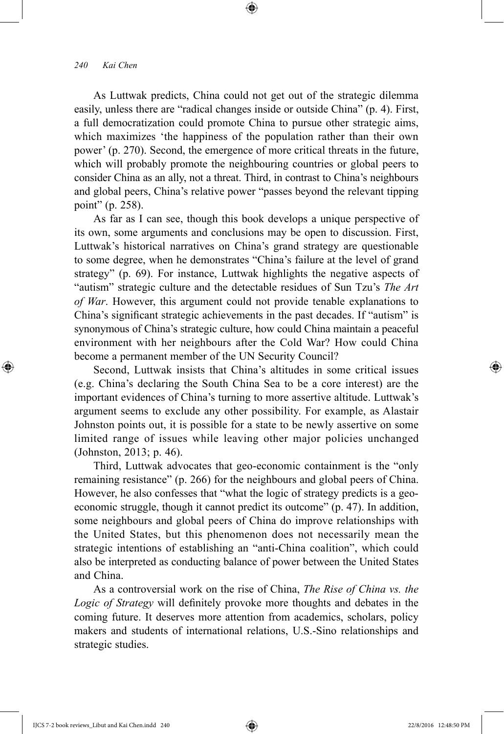⊕

As Luttwak predicts, China could not get out of the strategic dilemma easily, unless there are "radical changes inside or outside China" (p. 4). First, a full democratization could promote China to pursue other strategic aims, which maximizes 'the happiness of the population rather than their own power' (p. 270). Second, the emergence of more critical threats in the future, which will probably promote the neighbouring countries or global peers to consider China as an ally, not a threat. Third, in contrast to China's neighbours and global peers, China's relative power "passes beyond the relevant tipping point" (p. 258).

⊕

As far as I can see, though this book develops a unique perspective of its own, some arguments and conclusions may be open to discussion. First, Luttwak's historical narratives on China's grand strategy are questionable to some degree, when he demonstrates "China's failure at the level of grand strategy" (p. 69). For instance, Luttwak highlights the negative aspects of "autism" strategic culture and the detectable residues of Sun Tzu's *The Art of War*. However, this argument could not provide tenable explanations to China's significant strategic achievements in the past decades. If "autism" is synonymous of China's strategic culture, how could China maintain a peaceful environment with her neighbours after the Cold War? How could China become a permanent member of the UN Security Council?

Second, Luttwak insists that China's altitudes in some critical issues (e.g. China's declaring the South China Sea to be a core interest) are the important evidences of China's turning to more assertive altitude. Luttwak's argument seems to exclude any other possibility. For example, as Alastair Johnston points out, it is possible for a state to be newly assertive on some limited range of issues while leaving other major policies unchanged (Johnston, 2013; p. 46).

Third, Luttwak advocates that geo-economic containment is the "only remaining resistance" (p. 266) for the neighbours and global peers of China. However, he also confesses that "what the logic of strategy predicts is a geoeconomic struggle, though it cannot predict its outcome" (p. 47). In addition, some neighbours and global peers of China do improve relationships with the United States, but this phenomenon does not necessarily mean the strategic intentions of establishing an "anti-China coalition", which could also be interpreted as conducting balance of power between the United States and China.

As a controversial work on the rise of China, *The Rise of China vs. the Logic of Strategy* will definitely provoke more thoughts and debates in the coming future. It deserves more attention from academics, scholars, policy makers and students of international relations, U.S.-Sino relationships and strategic studies.

IJCS 7-2 book reviews\_Libut and Kai Chen.indd 240 22/8/2016 12:48:50 PM

⊕